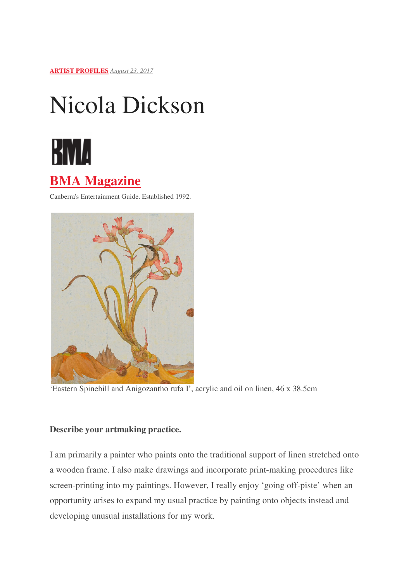**ARTIST PROFILES** *August 23, 2017*

# Nicola Dickson



# **BMA Magazine**

Canberra's Entertainment Guide. Established 1992.



'Eastern Spinebill and Anigozantho rufa I', acrylic and oil on linen, 46 x 38.5cm

## **Describe your artmaking practice.**

I am primarily a painter who paints onto the traditional support of linen stretched onto a wooden frame. I also make drawings and incorporate print-making procedures like a wooden frame. I also make drawings and incorporate print-making procedures like<br>screen-printing into my paintings. However, I really enjoy 'going off-piste' when an opportunity arises to expand my usual practice by painting onto objects instead and developing unusual installations for my work.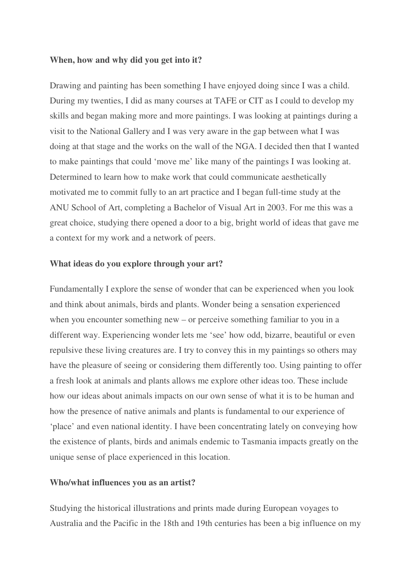#### **When, how and why did you get into it?**

Drawing and painting has been something I have enjoyed doing since I was a child. During my twenties, I did as many courses at TAFE or CIT as I could to develop my skills and began making more and more paintings. I was looking at paintings during a visit to the National Gallery and I was very aware in the gap between what I was doing at that stage and the works on the wall of the NGA. I decided then that I wanted to make paintings that could 'move me' like many of the paintings I was looking at. Determined to learn how to make work that could communicate aesthetically motivated me to commit fully to an art practice and I began full-time study at the ANU School of Art, completing a Bachelor of Visual Art in 2003. For me this was a great choice, studying there opened a door to a big, bright world of ideas that gave me a context for my work and a network of peers.

#### **What ideas do you explore through your art?**

Fundamentally I explore the sense of wonder that can be experienced when you look and think about animals, birds and plants. Wonder being a sensation experienced when you encounter something new – or perceive something familiar to you in a different way. Experiencing wonder lets me 'see' how odd, bizarre, beautiful or even repulsive these living creatures are. I try to convey this in my paintings so others may have the pleasure of seeing or considering them differently too. Using painting to offer a fresh look at animals and plants allows me explore other ideas too. These include how our ideas about animals impacts on our own sense of what it is to be human and how the presence of native animals and plants is fundamental to our experience of 'place' and even national identity. I have been concentrating lately on conveying how the existence of plants, birds and animals endemic to Tasmania impacts greatly on the unique sense of place experienced in this location.

#### **Who/what influences you as an artist?**

Studying the historical illustrations and prints made during European voyages to Australia and the Pacific in the 18th and 19th centuries has been a big influence on my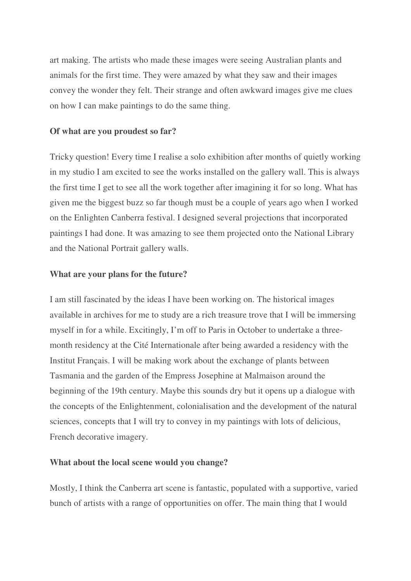art making. The artists who made these images were seeing Australian plants and animals for the first time. They were amazed by what they saw and their images convey the wonder they felt. Their strange and often awkward images give me clues on how I can make paintings to do the same thing.

#### **Of what are you proudest so far?**

Tricky question! Every time I realise a solo exhibition after months of quietly working in my studio I am excited to see the works installed on the gallery wall. This is always the first time I get to see all the work together after imagining it for so long. What has given me the biggest buzz so far though must be a couple of years ago when I worked on the Enlighten Canberra festival. I designed several projections that incorporated paintings I had done. It was amazing to see them projected onto the National Library and the National Portrait gallery walls.

#### **What are your plans for the future?**

I am still fascinated by the ideas I have been working on. The historical images available in archives for me to study are a rich treasure trove that I will be immersing myself in for a while. Excitingly, I'm off to Paris in October to undertake a threemonth residency at the Cité Internationale after being awarded a residency with the Institut Français. I will be making work about the exchange of plants between Tasmania and the garden of the Empress Josephine at Malmaison around the beginning of the 19th century. Maybe this sounds dry but it opens up a dialogue with the concepts of the Enlightenment, colonialisation and the development of the natural sciences, concepts that I will try to convey in my paintings with lots of delicious, French decorative imagery.

#### **What about the local scene would you change?**

Mostly, I think the Canberra art scene is fantastic, populated with a supportive, varied bunch of artists with a range of opportunities on offer. The main thing that I would